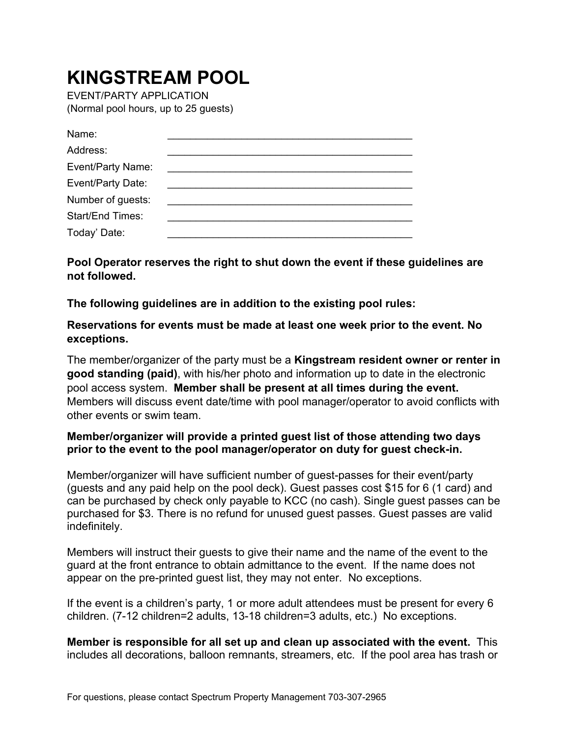## **KINGSTREAM POOL**

EVENT/PARTY APPLICATION (Normal pool hours, up to 25 guests)

| Name:                   |  |
|-------------------------|--|
| Address:                |  |
| Event/Party Name:       |  |
| Event/Party Date:       |  |
| Number of guests:       |  |
| <b>Start/End Times:</b> |  |
| Today' Date:            |  |

**Pool Operator reserves the right to shut down the event if these guidelines are not followed.** 

**The following guidelines are in addition to the existing pool rules:** 

**Reservations for events must be made at least one week prior to the event. No exceptions.** 

The member/organizer of the party must be a **Kingstream resident owner or renter in good standing (paid)**, with his/her photo and information up to date in the electronic pool access system. **Member shall be present at all times during the event.** Members will discuss event date/time with pool manager/operator to avoid conflicts with other events or swim team.

## **Member/organizer will provide a printed guest list of those attending two days prior to the event to the pool manager/operator on duty for guest check-in.**

Member/organizer will have sufficient number of guest-passes for their event/party (guests and any paid help on the pool deck). Guest passes cost \$15 for 6 (1 card) and can be purchased by check only payable to KCC (no cash). Single guest passes can be purchased for \$3. There is no refund for unused guest passes. Guest passes are valid indefinitely.

Members will instruct their guests to give their name and the name of the event to the guard at the front entrance to obtain admittance to the event. If the name does not appear on the pre-printed guest list, they may not enter. No exceptions.

If the event is a children's party, 1 or more adult attendees must be present for every 6 children. (7-12 children=2 adults, 13-18 children=3 adults, etc.) No exceptions.

**Member is responsible for all set up and clean up associated with the event.** This includes all decorations, balloon remnants, streamers, etc. If the pool area has trash or